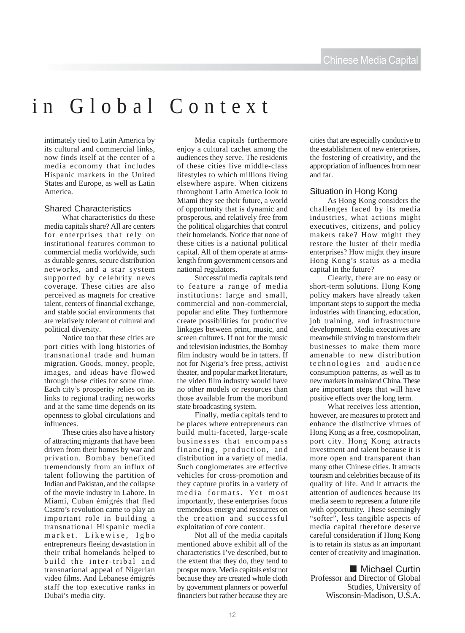# in Global Context

intimately tied to Latin America by its cultural and commercial links, now finds itself at the center of a media economy that includes Hispanic markets in the United States and Europe, as well as Latin America.

#### Shared Characteristics

What characteristics do these media capitals share? All are centers for enterprises that rely on institutional features common to commercial media worldwide, such as durable genres, secure distribution networks, and a star system supported by celebrity news coverage. These cities are also perceived as magnets for creative talent, centers of financial exchange, and stable social environments that are relatively tolerant of cultural and political diversity.

Notice too that these cities are port cities with long histories of transnational trade and human migration. Goods, money, people, images, and ideas have flowed through these cities for some time. Each city's prosperity relies on its links to regional trading networks and at the same time depends on its openness to global circulations and influences.

These cities also have a history of attracting migrants that have been driven from their homes by war and privation. Bombay benefited tremendously from an influx of talent following the partition of Indian and Pakistan, and the collapse of the movie industry in Lahore. In Miami, Cuban émigrés that fled Castro's revolution came to play an important role in building a transnational Hispanic media market. Likewise, Igbo entrepreneurs fleeing devastation in their tribal homelands helped to build the inter-tribal and transnational appeal of Nigerian video films. And Lebanese émigrés staff the top executive ranks in Dubai's media city.

Media capitals furthermore enjoy a cultural cachet among the audiences they serve. The residents of these cities live middle-class lifestyles to which millions living elsewhere aspire. When citizens throughout Latin America look to Miami they see their future, a world of opportunity that is dynamic and prosperous, and relatively free from the political oligarchies that control their homelands. Notice that none of these cities is a national political capital. All of them operate at armslength from government censors and national regulators.

Successful media capitals tend to feature a range of media institutions: large and small, commercial and non-commercial, popular and elite. They furthermore create possibilities for productive linkages between print, music, and screen cultures. If not for the music and television industries, the Bombay film industry would be in tatters. If not for Nigeria's free press, activist theater, and popular market literature, the video film industry would have no other models or resources than those available from the moribund state broadcasting system.

Finally, media capitals tend to be places where entrepreneurs can build multi-faceted, large-scale businesses that encompass financing, production, and distribution in a variety of media. Such conglomerates are effective vehicles for cross-promotion and they capture profits in a variety of media formats. Yet most importantly, these enterprises focus tremendous energy and resources on the creation and successful exploitation of core content.

Not all of the media capitals mentioned above exhibit all of the characteristics I've described, but to the extent that they do, they tend to prosper more. Media capitals exist not because they are created whole cloth by government planners or powerful financiers but rather because they are cities that are especially conducive to the establishment of new enterprises, the fostering of creativity, and the appropriation of influences from near and far.

### Situation in Hong Kong

As Hong Kong considers the challenges faced by its media industries, what actions might executives, citizens, and policy makers take? How might they restore the luster of their media enterprises? How might they insure Hong Kong's status as a media capital in the future?

Clearly, there are no easy or short-term solutions. Hong Kong policy makers have already taken important steps to support the media industries with financing, education, job training, and infrastructure development. Media executives are meanwhile striving to transform their businesses to make them more amenable to new distribution technologies and audience consumption patterns, as well as to new markets in mainland China. These are important steps that will have positive effects over the long term.

What receives less attention, however, are measures to protect and enhance the distinctive virtues of Hong Kong as a free, cosmopolitan, port city. Hong Kong attracts investment and talent because it is more open and transparent than many other Chinese cities. It attracts tourism and celebrities because of its quality of life. And it attracts the attention of audiences because its media seem to represent a future rife with opportunity. These seemingly "softer", less tangible aspects of media capital therefore deserve careful consideration if Hong Kong is to retain its status as an important center of creativity and imagination.

## **E** Michael Curtin

Professor and Director of Global Studies, University of Wisconsin-Madison, U.S.A.